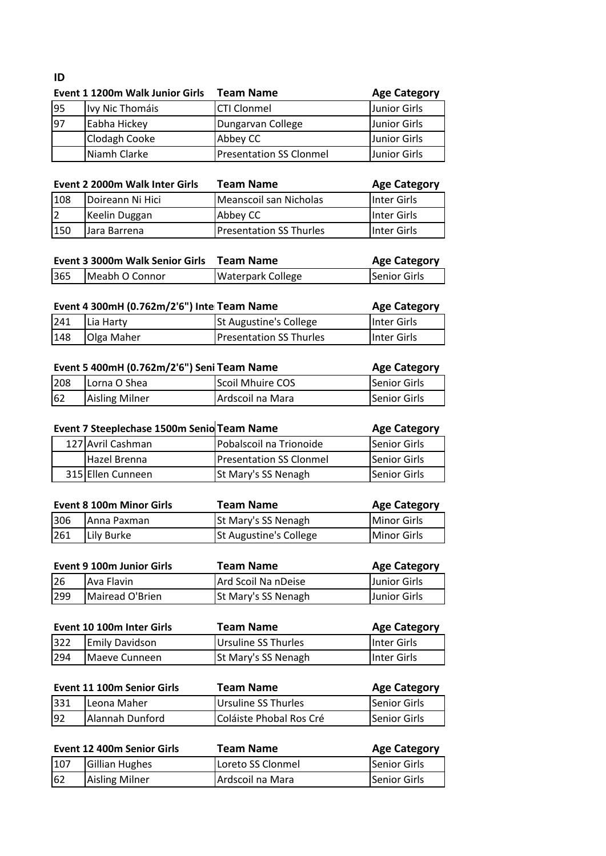# **ID**

|     | Event 1 1200m Walk Junior Girls | Team Name                      | <b>Age Category</b> |
|-----|---------------------------------|--------------------------------|---------------------|
| 95  | Ivy Nic Thomáis                 | <b>CTI Clonmel</b>             | Junior Girls        |
| 197 | Eabha Hickey                    | Dungarvan College              | Junior Girls        |
|     | Clodagh Cooke                   | Abbey CC                       | Junior Girls        |
|     | Niamh Clarke                    | <b>Presentation SS Clonmel</b> | <b>Junior Girls</b> |

| Inter Girls  |
|--------------|
| IInter Girls |
| Inter Girls  |
|              |

| 365<br>Senior Girls<br>Meabh O Connor<br><b>Waterpark College</b> | Event 3 3000m Walk Senior Girls Team Name | <b>Age Category</b> |
|-------------------------------------------------------------------|-------------------------------------------|---------------------|
|                                                                   |                                           |                     |

| Event 4 300mH (0.762m/2'6") Inte Team Name |                   |                                | <b>Age Category</b>  |
|--------------------------------------------|-------------------|--------------------------------|----------------------|
| 241                                        | <b>ILia Harty</b> | <b>St Augustine's College</b>  | <b>I</b> Inter Girls |
| 148                                        | Olga Maher        | <b>Presentation SS Thurles</b> | <b>I</b> Inter Girls |

|     | Event 5 400mH (0.762m/2'6") Seni Team Name | <b>Age Category</b> |              |
|-----|--------------------------------------------|---------------------|--------------|
| 208 | Lorna O Shea                               | Scoil Mhuire COS    | Senior Girls |
| 62  | <b>Aisling Milner</b>                      | Ardscoil na Mara    | Senior Girls |

| Event 7 Steeplechase 1500m Senio Team Name |                                | <b>Age Category</b> |
|--------------------------------------------|--------------------------------|---------------------|
| 127 Avril Cashman                          | Pobalscoil na Trionoide        | Senior Girls        |
| Hazel Brenna                               | <b>Presentation SS Clonmel</b> | Senior Girls        |
| 315 Ellen Cunneen                          | St Mary's SS Nenagh            | Senior Girls        |

|     | <b>Event 8 100m Minor Girls</b> | <b>Team Name</b>              | <b>Age Category</b> |
|-----|---------------------------------|-------------------------------|---------------------|
| 306 | <b>JAnna Paxman</b>             | <b>St Mary's SS Nenagh</b>    | Minor Girls         |
| 261 | lLilv Burke                     | <b>St Augustine's College</b> | Minor Girls         |

|     | Event 9 100m Junior Girls | Team Name                  | <b>Age Category</b> |
|-----|---------------------------|----------------------------|---------------------|
| 26  | Ava Flavin                | Ard Scoil Na nDeise        | <b>Uunior Girls</b> |
| 299 | Mairead O'Brien           | <b>St Mary's SS Nenagh</b> | <b>Junior Girls</b> |

|     | Event 10 100m Inter Girls | Team Name                  | <b>Age Category</b> |
|-----|---------------------------|----------------------------|---------------------|
| 322 | <b>Emily Davidson</b>     | <b>Ursuline SS Thurles</b> | Inter Girls         |
| 294 | Maeve Cunneen             | <b>St Mary's SS Nenagh</b> | Inter Girls         |

|     | <b>Event 11 100m Senior Girls</b> | Team Name               | <b>Age Category</b> |
|-----|-----------------------------------|-------------------------|---------------------|
| 331 | Leona Maher                       | Ursuline SS Thurles     | Senior Girls        |
| 92  | Alannah Dunford                   | Coláiste Phobal Ros Cré | Senior Girls        |

|     | Event 12 400m Senior Girls | Team Name         | <b>Age Category</b> |
|-----|----------------------------|-------------------|---------------------|
| 107 | Gillian Hughes             | Loreto SS Clonmel | Senior Girls        |
| 62  | <b>Aisling Milner</b>      | Ardscoil na Mara  | Senior Girls        |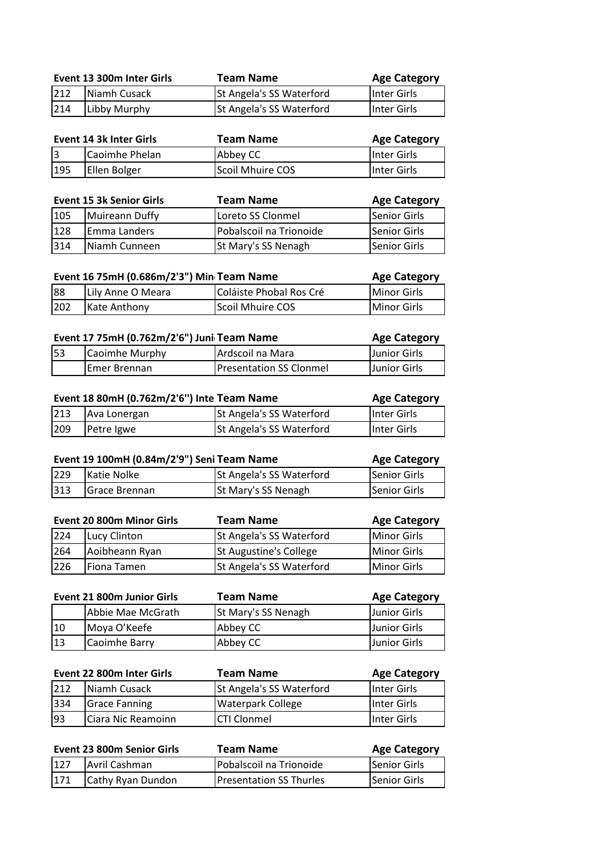|     | Event 13 300m Inter Girls | Team Name                | <b>Age Category</b> |
|-----|---------------------------|--------------------------|---------------------|
| 212 | Niamh Cusack              | St Angela's SS Waterford | Inter Girls         |
| 214 | Libby Murphy              | St Angela's SS Waterford | Inter Girls         |

| Event 14 3k Inter Girls |                | Team Name        | <b>Age Category</b> |
|-------------------------|----------------|------------------|---------------------|
|                         | Caoimhe Phelan | Abbey CC         | Inter Girls         |
| 195                     | Ellen Bolger   | Scoil Mhuire COS | Inter Girls         |

|     | <b>Event 15 3k Senior Girls</b> | <b>Team Name</b>           | <b>Age Category</b> |
|-----|---------------------------------|----------------------------|---------------------|
| 105 | Muireann Duffy                  | Loreto SS Clonmel          | Senior Girls        |
| 128 | Emma Landers                    | Pobalscoil na Trionoide    | lSenior Girls       |
| 314 | Niamh Cunneen                   | <b>St Mary's SS Nenagh</b> | <b>Senior Girls</b> |

| Event 16 75mH (0.686m/2'3") Min Team Name |                   |                         | <b>Age Category</b> |
|-------------------------------------------|-------------------|-------------------------|---------------------|
| 88                                        | Lily Anne O Meara | Coláiste Phobal Ros Cré | Minor Girls         |
| 202                                       | Kate Anthony      | Scoil Mhuire COS        | Minor Girls         |

| Event 17 75mH (0.762m/2'6") Juni Team Name |                |                                | <b>Age Category</b> |
|--------------------------------------------|----------------|--------------------------------|---------------------|
| <b>53</b>                                  | Caoimhe Murphy | Ardscoil na Mara               | Junior Girls        |
|                                            | Emer Brennan   | <b>Presentation SS Clonmel</b> | Junior Girls        |

| Event 18 80mH (0.762m/2'6") Inte Team Name |              |                                 | <b>Age Category</b> |
|--------------------------------------------|--------------|---------------------------------|---------------------|
| 213                                        | Ava Lonergan | <b>St Angela's SS Waterford</b> | Inter Girls         |
| 209                                        | Petre Igwe   | St Angela's SS Waterford        | Inter Girls         |

| Event 19 100mH (0.84m/2'9") Seni Team Name |                   |                          | <b>Age Category</b> |
|--------------------------------------------|-------------------|--------------------------|---------------------|
|                                            | 229 Katie Nolke   | St Angela's SS Waterford | Senior Girls        |
|                                            | 313 Grace Brennan | St Mary's SS Nenagh      | Senior Girls        |

|     | <b>Event 20 800m Minor Girls</b> | <b>Team Name</b>         | <b>Age Category</b> |
|-----|----------------------------------|--------------------------|---------------------|
| 224 | Lucy Clinton                     | St Angela's SS Waterford | Minor Girls         |
| 264 | Aoibheann Ryan                   | St Augustine's College   | Minor Girls         |
| 226 | Fiona Tamen                      | St Angela's SS Waterford | <b>Minor Girls</b>  |

|    | <b>Event 21 800m Junior Girls</b> | <b>Team Name</b>           | <b>Age Category</b> |
|----|-----------------------------------|----------------------------|---------------------|
|    | Abbie Mae McGrath                 | <b>St Mary's SS Nenagh</b> | IJunior Girls       |
| 10 | Moya O'Keefe                      | Abbey CC                   | <b>Junior Girls</b> |
| 13 | Caoimhe Barry                     | Abbey CC                   | IJunior Girls       |

|     | Event 22 800m Inter Girls | <b>Team Name</b>         | <b>Age Category</b> |
|-----|---------------------------|--------------------------|---------------------|
| 212 | Niamh Cusack              | St Angela's SS Waterford | Inter Girls         |
| 334 | <b>Grace Fanning</b>      | <b>Waterpark College</b> | Inter Girls         |
| 93  | Ciara Nic Reamoinn        | ICTI Clonmel             | Inter Girls         |

| Event 23 800m Senior Girls | Team Name                      | <b>Age Category</b> |
|----------------------------|--------------------------------|---------------------|
| 127 Avril Cashman          | Pobalscoil na Trionoide        | Senior Girls        |
| 171 Cathy Ryan Dundon      | <b>Presentation SS Thurles</b> | Senior Girls        |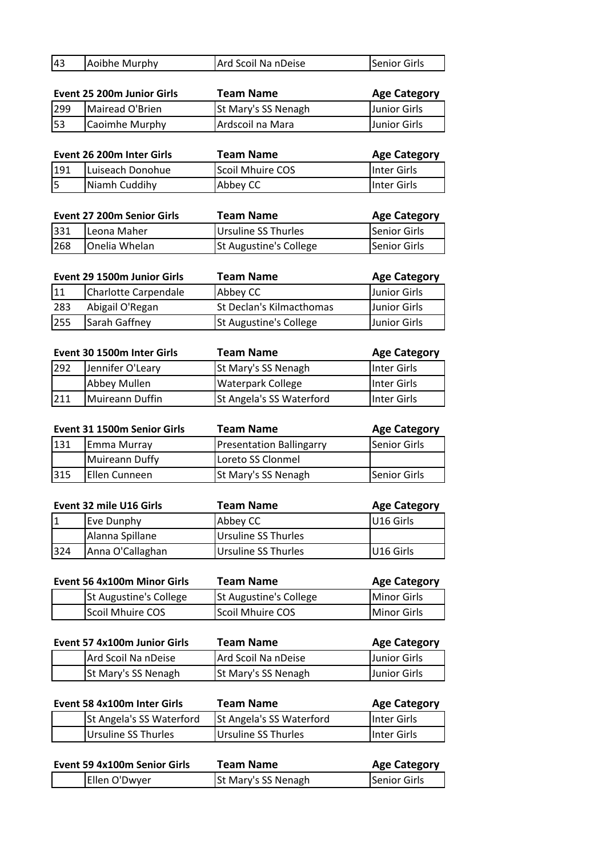| 43 | Aoibhe Murphy | Ard Scoil Na nDeise | Senior Girls |
|----|---------------|---------------------|--------------|

|     | Event 25 200m Junior Girls | Team Name           | <b>Age Category</b> |
|-----|----------------------------|---------------------|---------------------|
| 299 | Mairead O'Brien            | St Mary's SS Nenagh | Junior Girls        |
| 53  | Caoimhe Murphy             | Ardscoil na Mara    | Junior Girls        |

| Event 26 200m Inter Girls |                  | Team Name        | <b>Age Category</b> |
|---------------------------|------------------|------------------|---------------------|
| 191                       | Luiseach Donohue | Scoil Mhuire COS | Inter Girls         |
| l5                        | Niamh Cuddihy    | Abbey CC         | Inter Girls         |

| <b>Event 27 200m Senior Girls</b> |               | Team Name                     | <b>Age Category</b> |
|-----------------------------------|---------------|-------------------------------|---------------------|
| 331                               | Leona Maher   | Ursuline SS Thurles           | Senior Girls        |
| 268                               | Onelia Whelan | <b>St Augustine's College</b> | Senior Girls        |

|     | Event 29 1500m Junior Girls | Team Name                     | <b>Age Category</b> |
|-----|-----------------------------|-------------------------------|---------------------|
| 11  | Charlotte Carpendale        | Abbey CC                      | Junior Girls        |
| 283 | Abigail O'Regan             | St Declan's Kilmacthomas      | Junior Girls        |
| 255 | Sarah Gaffney               | <b>St Augustine's College</b> | <b>Junior Girls</b> |

|     | Event 30 1500m Inter Girls | <b>Team Name</b>         | <b>Age Category</b> |
|-----|----------------------------|--------------------------|---------------------|
| 292 | Jennifer O'Leary           | St Mary's SS Nenagh      | Inter Girls         |
|     | Abbey Mullen               | <b>Waterpark College</b> | Inter Girls         |
| 211 | Muireann Duffin            | St Angela's SS Waterford | Inter Girls         |

|     | Event 31 1500m Senior Girls | <b>Team Name</b>                | <b>Age Category</b> |
|-----|-----------------------------|---------------------------------|---------------------|
| 131 | Emma Murray                 | <b>Presentation Ballingarry</b> | Senior Girls        |
|     | Muireann Duffy              | Loreto SS Clonmel               |                     |
| 315 | <b>IEllen Cunneen</b>       | <b>St Mary's SS Nenagh</b>      | <b>Senior Girls</b> |

| Event 32 mile U16 Girls |                  | Team Name           | <b>Age Category</b> |
|-------------------------|------------------|---------------------|---------------------|
|                         | Eve Dunphy       | Abbey CC            | U16 Girls           |
|                         | Alanna Spillane  | Ursuline SS Thurles |                     |
| 1324                    | Anna O'Callaghan | Ursuline SS Thurles | IU16 Girls          |

| Event 56 4x100m Minor Girls |                               | Team Name                     | <b>Age Category</b> |
|-----------------------------|-------------------------------|-------------------------------|---------------------|
|                             | <b>St Augustine's College</b> | <b>St Augustine's College</b> | Minor Girls         |
|                             | Scoil Mhuire COS              | Scoil Mhuire COS              | <b>IMinor Girls</b> |

| Event 57 4x100m Junior Girls |                     | Team Name           | <b>Age Category</b> |
|------------------------------|---------------------|---------------------|---------------------|
|                              | Ard Scoil Na nDeise | Ard Scoil Na nDeise | Junior Girls        |
|                              | St Mary's SS Nenagh | St Mary's SS Nenagh | <b>Junior Girls</b> |

| Event 58 4x100m Inter Girls |                          | Team Name                       | <b>Age Category</b> |
|-----------------------------|--------------------------|---------------------------------|---------------------|
|                             | St Angela's SS Waterford | <b>St Angela's SS Waterford</b> | Inter Girls         |
|                             | Ursuline SS Thurles      | Ursuline SS Thurles             | Inter Girls         |

| Event 59 4x100m Senior Girls | Team Name           | <b>Age Category</b> |
|------------------------------|---------------------|---------------------|
| Ellen O'Dwyer                | St Mary's SS Nenagh | Senior Girls        |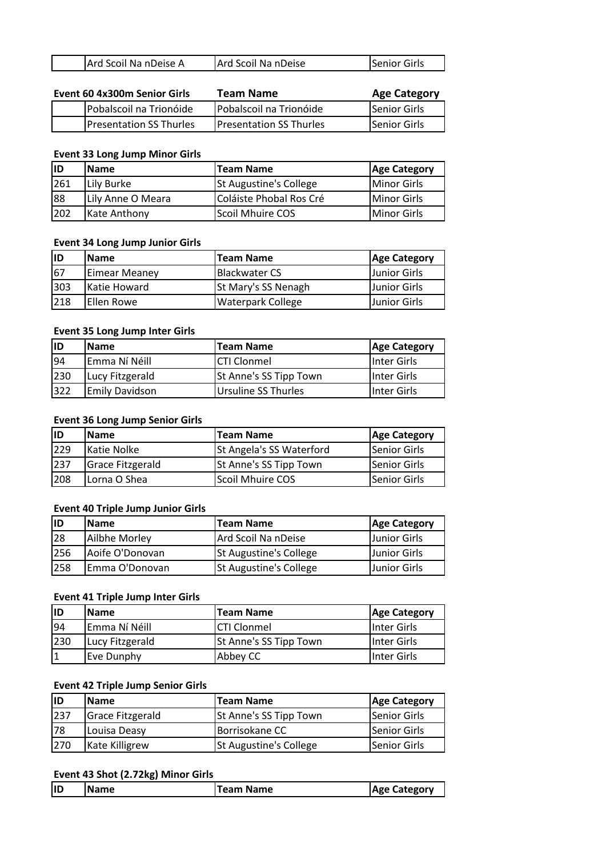|  | Ard Scoil Na nDeise A | Ard Scoil Na nDeise | <b>Senior Girls</b> |
|--|-----------------------|---------------------|---------------------|
|--|-----------------------|---------------------|---------------------|

| Event 60 4x300m Senior Girls |                                | Team Name                      | <b>Age Category</b> |
|------------------------------|--------------------------------|--------------------------------|---------------------|
|                              | Pobalscoil na Trionóide        | Pobalscoil na Trionóide        | Senior Girls        |
|                              | <b>Presentation SS Thurles</b> | <b>Presentation SS Thurles</b> | Senior Girls        |

#### **Event 33 Long Jump Minor Girls**

| lıd | <b>Name</b>       | <b>Team Name</b>              | <b>Age Category</b> |
|-----|-------------------|-------------------------------|---------------------|
| 261 | Lily Burke        | <b>St Augustine's College</b> | <b>IMinor Girls</b> |
| 88  | Lily Anne O Meara | Coláiste Phobal Ros Cré       | <b>Minor Girls</b>  |
| 202 | Kate Anthony      | Scoil Mhuire COS              | Minor Girls         |

#### **Event 34 Long Jump Junior Girls**

| ID  | <b>IName</b>          | <b>Team Name</b>     | <b>Age Category</b> |
|-----|-----------------------|----------------------|---------------------|
| 167 | Eimear Meaney         | <b>Blackwater CS</b> | Junior Girls        |
| 303 | <b>I</b> Katie Howard | St Mary's SS Nenagh  | Junior Girls        |
| 218 | Ellen Rowe            | Waterpark College    | Junior Girls        |

#### **Event 35 Long Jump Inter Girls**

| lID | <b>IName</b>    | <b>Team Name</b>       | <b>Age Category</b> |
|-----|-----------------|------------------------|---------------------|
| 94  | Emma Ní Néill   | <b>CTI Clonmel</b>     | IInter Girls        |
| 230 | Lucy Fitzgerald | St Anne's SS Tipp Town | IInter Girls        |
| 322 | Emily Davidson  | Ursuline SS Thurles    | lInter Girls        |

#### **Event 36 Long Jump Senior Girls**

| lıd | <b>Name</b>             | <b>Team Name</b>         | <b>Age Category</b> |
|-----|-------------------------|--------------------------|---------------------|
| 229 | Katie Nolke             | St Angela's SS Waterford | Senior Girls        |
| 237 | <b>Grace Fitzgerald</b> | St Anne's SS Tipp Town   | Senior Girls        |
| 208 | Lorna O Shea            | Scoil Mhuire COS         | lSenior Girls       |

## **Event 40 Triple Jump Junior Girls**

| lID | <b>IName</b>    | <b>Team Name</b>              | Age Category        |
|-----|-----------------|-------------------------------|---------------------|
| 28  | Ailbhe Morley   | Ard Scoil Na nDeise           | Junior Girls        |
| 256 | Aoife O'Donovan | <b>St Augustine's College</b> | Junior Girls        |
| 258 | Emma O'Donovan  | <b>St Augustine's College</b> | <b>Junior Girls</b> |

## **Event 41 Triple Jump Inter Girls**

| ID  | <b>Name</b>     | <b>Team Name</b>       | <b>Age Category</b> |
|-----|-----------------|------------------------|---------------------|
| 94  | Emma Ní Néill   | <b>CTI Clonmel</b>     | Inter Girls         |
| 230 | Lucy Fitzgerald | St Anne's SS Tipp Town | IInter Girls        |
|     | Eve Dunphy      | Abbey CC               | Inter Girls         |

### **Event 42 Triple Jump Senior Girls**

| ID  | <b>Name</b>      | <b>Team Name</b>              | <b>Age Category</b> |
|-----|------------------|-------------------------------|---------------------|
| 237 | Grace Fitzgerald | St Anne's SS Tipp Town        | Senior Girls        |
| 78  | Louisa Deasy     | Borrisokane CC                | Senior Girls        |
| 270 | Kate Killigrew   | <b>St Augustine's College</b> | Senior Girls        |

### **Event 43 Shot (2.72kg) Minor Girls**

|  | ID | Name<br>-N | Team Name | _ategor <sup></sup><br>' Ασρ |
|--|----|------------|-----------|------------------------------|
|--|----|------------|-----------|------------------------------|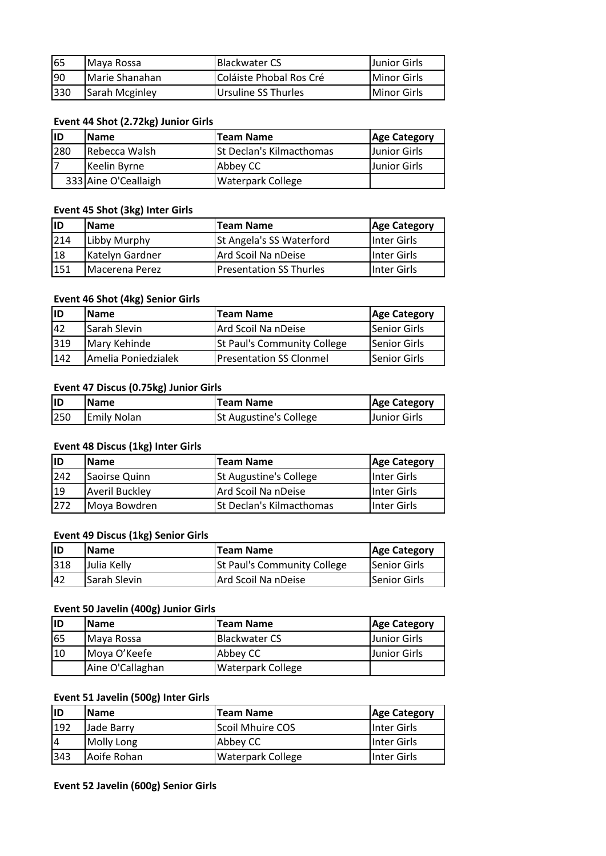| 65  | Maya Rossa     | <b>IBlackwater CS</b>   | <b>Junior Girls</b> |
|-----|----------------|-------------------------|---------------------|
| 190 | Marie Shanahan | Coláiste Phobal Ros Cré | Minor Girls         |
| 330 | Sarah Mcginley | Ursuline SS Thurles     | Minor Girls         |

### **Event 44 Shot (2.72kg) Junior Girls**

| lID | <b>Name</b>          | <b>Team Name</b>                | <b>Age Category</b> |
|-----|----------------------|---------------------------------|---------------------|
| 280 | Rebecca Walsh        | <b>St Declan's Kilmacthomas</b> | IJunior Girls       |
|     | Keelin Byrne         | Abbey CC                        | lJunior Girls       |
|     | 333 Aine O'Ceallaigh | <b>Waterpark College</b>        |                     |

### **Event 45 Shot (3kg) Inter Girls**

| ID  | <b>IName</b>           | <b>Team Name</b>                | <b>Age Category</b> |
|-----|------------------------|---------------------------------|---------------------|
| 214 | Libby Murphy           | <b>St Angela's SS Waterford</b> | lInter Girls        |
| 18  | Katelyn Gardner        | Ard Scoil Na nDeise             | IInter Girls        |
| 151 | <b>IMacerena Perez</b> | <b>Presentation SS Thurles</b>  | Inter Girls         |

#### **Event 46 Shot (4kg) Senior Girls**

| lıd | <b>Name</b>         | <b>ITeam Name</b>                  | <b>Age Category</b>   |
|-----|---------------------|------------------------------------|-----------------------|
| 42  | Sarah Slevin        | Ard Scoil Na nDeise                | Senior Girls          |
| 319 | Mary Kehinde        | <b>St Paul's Community College</b> | <b>I</b> Senior Girls |
| 142 | Amelia Poniedzialek | <b>Presentation SS Clonmel</b>     | lSenior Girls         |

## **Event 47 Discus (0.75kg) Junior Girls**

| lID | <b>IName</b>       | <b>Team Name</b>              | <b>Age Category</b> |
|-----|--------------------|-------------------------------|---------------------|
| 250 | <b>Emily Nolan</b> | <b>St Augustine's College</b> | <b>Junior Girls</b> |

### **Event 48 Discus (1kg) Inter Girls**

| lıD | <b>Name</b>           | <b>Team Name</b>                | <b>Age Category</b>  |
|-----|-----------------------|---------------------------------|----------------------|
| 242 | Saoirse Quinn         | <b>St Augustine's College</b>   | IInter Girls         |
| 19  | <b>Averil Buckley</b> | Ard Scoil Na nDeise             | <b>I</b> Inter Girls |
| 272 | Moya Bowdren          | <b>St Declan's Kilmacthomas</b> | Inter Girls          |

#### **Event 49 Discus (1kg) Senior Girls**

| lıD | <b>IName</b> | <b>Team Name</b>                   | <b>Age Category</b>   |
|-----|--------------|------------------------------------|-----------------------|
| 318 | Julia Kelly  | <b>St Paul's Community College</b> | Senior Girls          |
| 42  | Sarah Slevin | lArd Scoil Na nDeise               | <b>I</b> Senior Girls |

## **Event 50 Javelin (400g) Junior Girls**

| ID | <b>Name</b>      | <b>ITeam Name</b>        | <b>Age Category</b> |
|----|------------------|--------------------------|---------------------|
| 65 | Maya Rossa       | <b>Blackwater CS</b>     | <b>Junior Girls</b> |
| 10 | Moya O'Keefe     | Abbey CC                 | <b>Junior Girls</b> |
|    | Aine O'Callaghan | <b>Waterpark College</b> |                     |

## **Event 51 Javelin (500g) Inter Girls**

| lID | <b>Name</b> | <b>ITeam Name</b>        | <b>Age Category</b> |
|-----|-------------|--------------------------|---------------------|
| 192 | Jade Barrv  | Scoil Mhuire COS         | Inter Girls         |
| 14  | Molly Long  | Abbey CC                 | IInter Girls        |
| 343 | Aoife Rohan | <b>Waterpark College</b> | lInter Girls        |

### **Event 52 Javelin (600g) Senior Girls**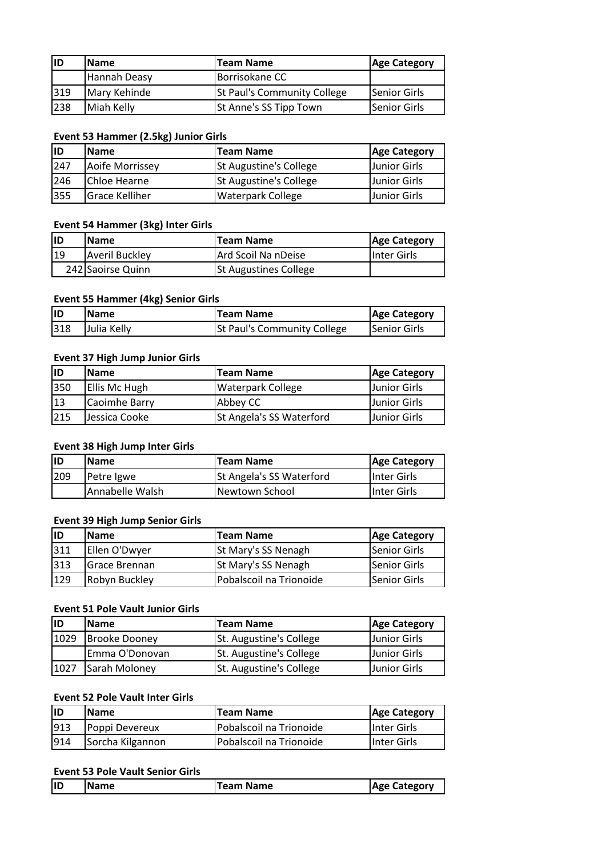| ID  | <b>IName</b> | <b>Team Name</b>                   | <b>Age Category</b>   |
|-----|--------------|------------------------------------|-----------------------|
|     | Hannah Deasy | Borrisokane CC                     |                       |
| 319 | Mary Kehinde | <b>St Paul's Community College</b> | Senior Girls          |
| 238 | Miah Kelly   | St Anne's SS Tipp Town             | <b>I</b> Senior Girls |

#### **Event 53 Hammer (2.5kg) Junior Girls**

| lID | <b>Name</b>           | <b>Team Name</b>              | <b>Age Category</b> |
|-----|-----------------------|-------------------------------|---------------------|
| 247 | Aoife Morrissey       | <b>St Augustine's College</b> | Junior Girls        |
| 246 | <b>I</b> Chloe Hearne | <b>St Augustine's College</b> | Junior Girls        |
| 355 | Grace Kelliher        | <b>Waterpark College</b>      | Junior Girls        |

### **Event 54 Hammer (3kg) Inter Girls**

| <b>IID</b> | <b>Name</b>           | <b>Team Name</b>             | <b>Age Category</b> |
|------------|-----------------------|------------------------------|---------------------|
| 119        | <b>Averil Buckley</b> | Ard Scoil Na nDeise          | Inter Girls         |
|            | 242 Saoirse Quinn     | <b>St Augustines College</b> |                     |

### **Event 55 Hammer (4kg) Senior Girls**

| lıd | <b>IName</b> | <b>Team Name</b>                   | <b>Age Category</b> |
|-----|--------------|------------------------------------|---------------------|
| 318 | Julia Kelly  | <b>St Paul's Community College</b> | Senior Girls        |

#### **Event 37 High Jump Junior Girls**

| lıD | <b>IName</b>         | <b>Team Name</b>                | <b>Age Category</b> |
|-----|----------------------|---------------------------------|---------------------|
| 350 | <b>Ellis Mc Hugh</b> | Waterpark College               | Junior Girls        |
| 13  | Caoimhe Barry        | Abbey CC                        | <b>Junior Girls</b> |
| 215 | IJessica Cooke       | <b>St Angela's SS Waterford</b> | Junior Girls        |

#### **Event 38 High Jump Inter Girls**

| lıd | <b>IName</b>    | <b>Team Name</b>         | <b>Age Category</b> |
|-----|-----------------|--------------------------|---------------------|
| 209 | Petre Igwe      | St Angela's SS Waterford | Inter Girls         |
|     | Annabelle Walsh | Newtown School           | Inter Girls         |

#### **Event 39 High Jump Senior Girls**

| lID  | lName          | <b>Team Name</b>           | <b>Age Category</b> |
|------|----------------|----------------------------|---------------------|
| 1311 | Ellen O'Dwyer  | <b>St Mary's SS Nenagh</b> | Senior Girls        |
| 313  | lGrace Brennan | <b>St Mary's SS Nenagh</b> | lSenior Girls       |
| 129  | Robyn Buckley  | Pobalscoil na Trionoide    | <b>Senior Girls</b> |

## **Event 51 Pole Vault Junior Girls**

| ID   | <b>IName</b>         | <b>Team Name</b>               | <b>Age Category</b> |
|------|----------------------|--------------------------------|---------------------|
| 1029 | <b>Brooke Dooney</b> | <b>St. Augustine's College</b> | IJunior Girls       |
|      | Emma O'Donovan       | St. Augustine's College        | Junior Girls        |
| 1027 | Sarah Molonev        | St. Augustine's College        | Junior Girls        |

## **Event 52 Pole Vault Inter Girls**

| <b>ID</b> | <b>Name</b>      | <b>Team Name</b>        | <b>Age Category</b> |
|-----------|------------------|-------------------------|---------------------|
| 913       | Poppi Devereux   | Pobalscoil na Trionoide | <b>Inter Girls</b>  |
| 914       | Sorcha Kilgannon | Pobalscoil na Trionoide | Inter Girls         |

#### **Event 53 Pole Vault Senior Girls**

| ID<br><b>Name</b><br><b>IAge Category</b><br>Feam Name |  |
|--------------------------------------------------------|--|
|--------------------------------------------------------|--|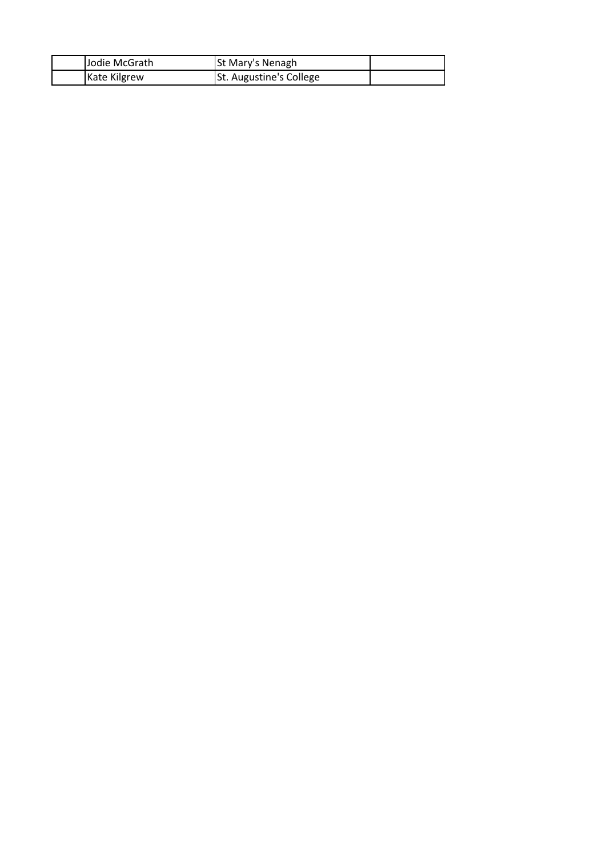| Jodie McGrath | <b>St Mary's Nenagh</b> |  |
|---------------|-------------------------|--|
| Kate Kilgrew  | St. Augustine's College |  |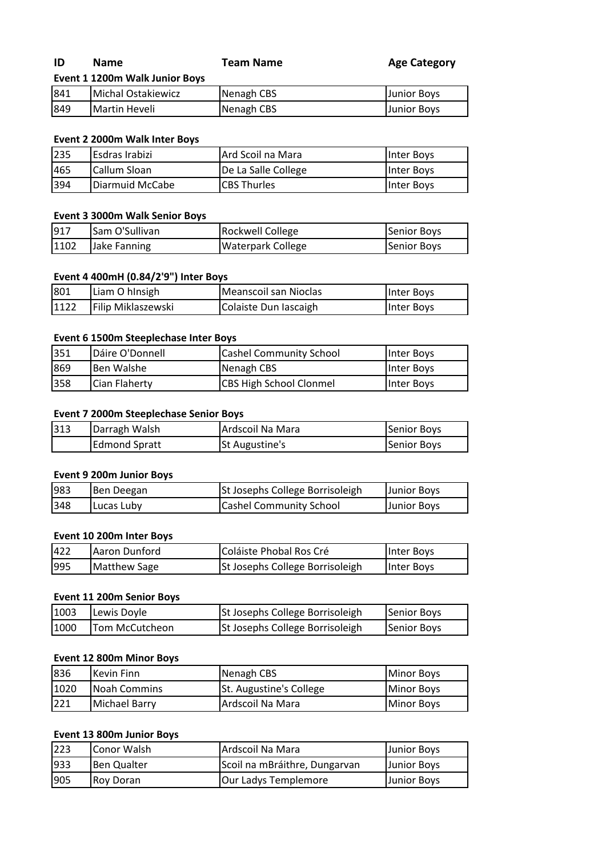| ID       | <b>Name</b>                    | Team Name       | <b>Age Category</b> |
|----------|--------------------------------|-----------------|---------------------|
|          | Event 1 1200m Walk Junior Boys |                 |                     |
| $Q$ $11$ | <b>INdichal Octabiowicz</b>    | $M$ anagh $CBC$ | <b>Lunior Rove</b>  |

## 841 Michal Ostakiewicz \_ \_ \_ Nenagh CBS \_ \_ \_ \_ \_ \_ \_ \_ \_ \_ \_ Junior Boys 849 Martin Heveli **Nenagh CBS** Junior Boys

### **Event 2 2000m Walk Inter Boys**

| 235 | Esdras Irabizi  | Ard Scoil na Mara   | <b>Inter Boys</b> |
|-----|-----------------|---------------------|-------------------|
| 465 | Callum Sloan    | De La Salle College | Inter Boys        |
| 394 | Diarmuid McCabe | <b>ICBS Thurles</b> | <b>Inter Boys</b> |

### **Event 3 3000m Walk Senior Boys**

| 917  | Sam O'Sullivan | <b>Rockwell College</b> | Senior Boys |
|------|----------------|-------------------------|-------------|
| 1102 | Jake Fanning   | Waterpark College       | Senior Boys |

## **Event 4 400mH (0.84/2'9") Inter Boys**

| 801  | Liam O hinsigh     | Meanscoil san Nioclas | Inter Boys |
|------|--------------------|-----------------------|------------|
| 1122 | Filip Miklaszewski | Colaiste Dun Iascaigh | Inter Boys |

### **Event 6 1500m Steeplechase Inter Boys**

| 351 | Dáire O'Donnell | <b>Cashel Community School</b> | Inter Boys        |
|-----|-----------------|--------------------------------|-------------------|
| 869 | Ben Walshe      | Nenagh CBS                     | Inter Boys        |
| 358 | Cian Flaherty   | <b>CBS High School Clonmel</b> | <b>Inter Boys</b> |

## **Event 7 2000m Steeplechase Senior Boys**

| 313 | Darragh Walsh        | IArdscoil Na Mara     | Senior Boys |
|-----|----------------------|-----------------------|-------------|
|     | <b>Edmond Spratt</b> | <b>St Augustine's</b> | Senior Boys |

### **Event 9 200m Junior Boys**

| 983 | Ben Deegan  | St Josephs College Borrisoleigh | Junior Boys |
|-----|-------------|---------------------------------|-------------|
| 348 | ILucas Luby | <b>Cashel Community School</b>  | Junior Boys |

#### **Event 10 200m Inter Boys**

| 422 | <b>JAaron Dunford</b> | Coláiste Phobal Ros Cré         | Inter Boys |
|-----|-----------------------|---------------------------------|------------|
| 995 | Matthew Sage          | St Josephs College Borrisoleigh | Inter Boys |

## **Event 11 200m Senior Boys**

| 1003 | Lewis Doyle            | St Josephs College Borrisoleigh        | Senior Boys |
|------|------------------------|----------------------------------------|-------------|
| 1000 | <b>ITom McCutcheon</b> | <b>St Josephs College Borrisoleigh</b> | Senior Boys |

### **Event 12 800m Minor Boys**

| 836  | lKevin Finn   | Nenagh CBS                     | Minor Boys         |
|------|---------------|--------------------------------|--------------------|
| 1020 | Noah Commins  | <b>St. Augustine's College</b> | <b>IMinor Boys</b> |
| 221  | Michael Barry | Ardscoil Na Mara               | Minor Boys         |

### **Event 13 800m Junior Boys**

| 223 | Conor Walsh | Ardscoil Na Mara              | Junior Boys |
|-----|-------------|-------------------------------|-------------|
| 933 | Ben Qualter | Scoil na mBráithre, Dungarvan | Junior Boys |
| 905 | Roy Doran   | Our Ladys Templemore          | Junior Boys |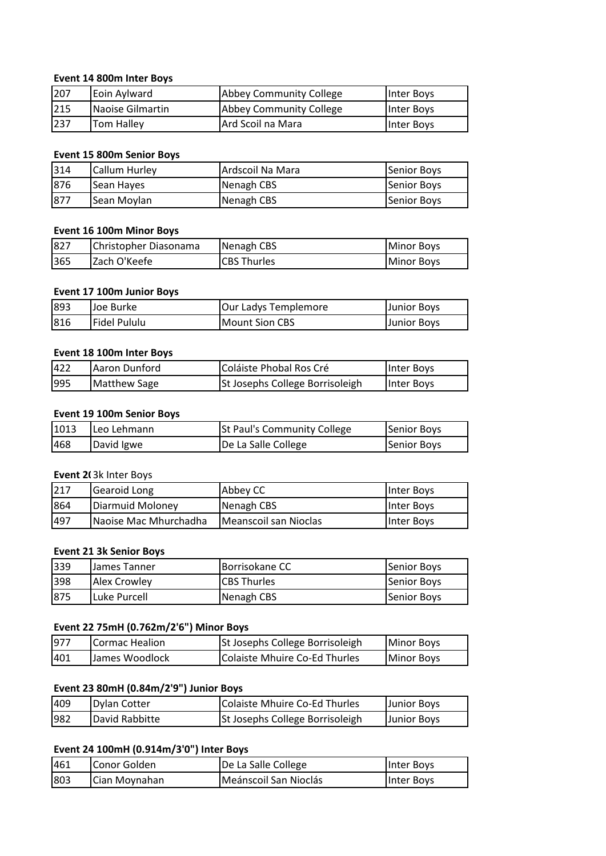#### **Event 14 800m Inter Boys**

| 207 | Eoin Aylward       | Abbey Community College | Inter Boys        |
|-----|--------------------|-------------------------|-------------------|
| 215 | Naoise Gilmartin   | Abbey Community College | <b>Inter Boys</b> |
| 237 | <b>ITom Hallev</b> | Ard Scoil na Mara       | Inter Boys        |

#### **Event 15 800m Senior Boys**

| 1314 | Callum Hurley     | Ardscoil Na Mara | Senior Boys |
|------|-------------------|------------------|-------------|
| 876  | <b>Sean Hayes</b> | Nenagh CBS       | Senior Boys |
| 877  | Sean Moylan       | Nenagh CBS       | Senior Boys |

#### **Event 16 100m Minor Boys**

| 827 | Christopher Diasonama | Nenagh CBS         | Minor Boys |
|-----|-----------------------|--------------------|------------|
| 365 | Zach O'Keefe          | <b>CBS Thurles</b> | Minor Boys |

#### **Event 17 100m Junior Boys**

| 893 | lJoe Burke   | Our Ladys Templemore  | Junior Boys |
|-----|--------------|-----------------------|-------------|
| 816 | Fidel Pululu | <b>Mount Sion CBS</b> | Junior Boys |

#### **Event 18 100m Inter Boys**

| 422 | Aaron Dunford | Coláiste Phobal Ros Cré         | Inter Boys |
|-----|---------------|---------------------------------|------------|
| 995 | Matthew Sage  | St Josephs College Borrisoleigh | Inter Boys |

### **Event 19 100m Senior Boys**

| 1013 | Leo Lehmann | St Paul's Community College | Senior Boys |
|------|-------------|-----------------------------|-------------|
| 468  | David Igwe  | De La Salle College         | Senior Boys |

#### **Event 20 3k Inter Boys**

| 217 | Gearoid Long          | Abbey CC              | Inter Boys |
|-----|-----------------------|-----------------------|------------|
| 864 | Diarmuid Moloney      | Nenagh CBS            | Inter Bovs |
| 497 | Naoise Mac Mhurchadha | Meanscoil san Nioclas | Inter Boys |

#### **Event 21 3k Senior Boys**

| 339 | IJames Tanner         | <b>Borrisokane CC</b> | <b>Senior Boys</b>  |
|-----|-----------------------|-----------------------|---------------------|
| 398 | Alex Crowley          | <b>CBS Thurles</b>    | <b>ISenior Boys</b> |
| 875 | <b>I</b> Luke Purcell | Nenagh CBS            | <b>ISenior Boys</b> |

#### **Event 22 75mH (0.762m/2'6") Minor Boys**

| 1977 | Cormac Healion | St Josephs College Borrisoleigh | Minor Boys |
|------|----------------|---------------------------------|------------|
| 401  | James Woodlock | Colaiste Mhuire Co-Ed Thurles   | Minor Boys |

## **Event 23 80mH (0.84m/2'9") Junior Boys**

| 409 | Dylan Cotter   | Colaiste Mhuire Co-Ed Thurles   | Junior Boys |
|-----|----------------|---------------------------------|-------------|
| 982 | David Rabbitte | St Josephs College Borrisoleigh | Junior Boys |

#### **Event 24 100mH (0.914m/3'0") Inter Boys**

| 461 | Conor Golden  | De La Salle College   | Inter Boys |
|-----|---------------|-----------------------|------------|
| 803 | Cian Moynahan | Meánscoil San Nioclás | Inter Boys |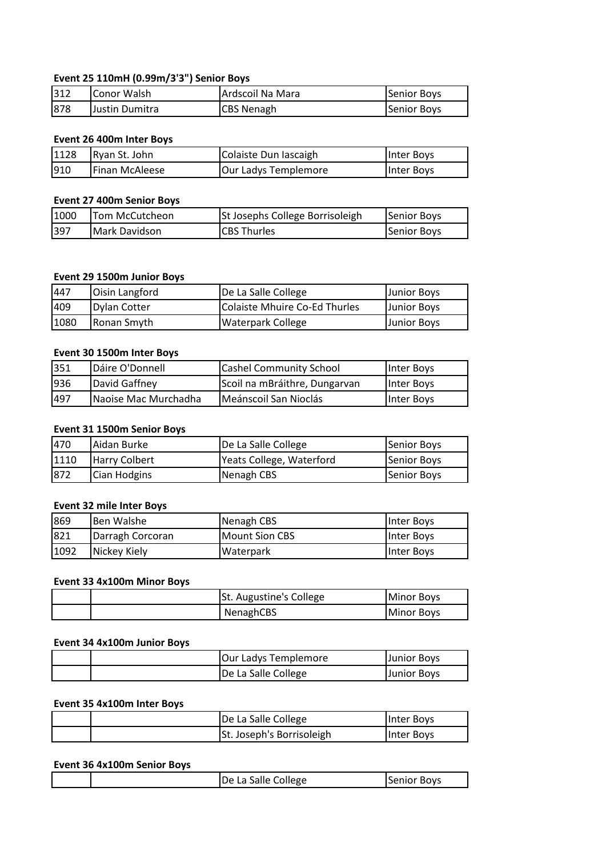## **Event 25 110mH (0.99m/3'3") Senior Boys**

| 312 | <b>IConor Walsh</b> | Ardscoil Na Mara  | Senior Boys |
|-----|---------------------|-------------------|-------------|
| 878 | Justin Dumitra      | <b>CBS Nenagh</b> | Senior Boys |

#### **Event 26 400m Inter Boys**

| 1128 | Ryan St. John         | Colaiste Dun Iascaigh | Inter Boys        |
|------|-----------------------|-----------------------|-------------------|
| 910  | <b>Finan McAleese</b> | Our Ladys Templemore  | <b>Inter Boys</b> |

#### **Event 27 400m Senior Boys**

| 1000 | Tom McCutcheon | St Josephs College Borrisoleigh | Senior Boys |
|------|----------------|---------------------------------|-------------|
| 397  | Mark Davidson  | <b>ICBS Thurles</b>             | Senior Boys |

### **Event 29 1500m Junior Boys**

| 447  | <b>Oisin Langford</b> | De La Salle College           | Junior Boys |
|------|-----------------------|-------------------------------|-------------|
| 409  | Dylan Cotter          | Colaiste Mhuire Co-Ed Thurles | Junior Boys |
| 1080 | Ronan Smyth           | Waterpark College             | Junior Boys |

### **Event 30 1500m Inter Boys**

| 351 | Dáire O'Donnell      | <b>Cashel Community School</b> | <b>Inter Boys</b> |
|-----|----------------------|--------------------------------|-------------------|
| 936 | David Gaffney        | Scoil na mBráithre, Dungarvan  | Inter Boys        |
| 497 | Naoise Mac Murchadha | Meánscoil San Nioclás          | Inter Boys        |

## **Event 31 1500m Senior Boys**

| 470  | Aidan Burke          | De La Salle College      | Senior Boys |
|------|----------------------|--------------------------|-------------|
| 1110 | <b>Harry Colbert</b> | Yeats College, Waterford | Senior Boys |
| 872  | Cian Hodgins         | Nenagh CBS               | Senior Boys |

#### **Event 32 mile Inter Boys**

| 869  | Ben Walshe       | Nenagh CBS     | IInter Bovs       |
|------|------------------|----------------|-------------------|
| 821  | Darragh Corcoran | Mount Sion CBS | Inter Boys        |
| 1092 | Nickey Kiely     | Waterpark      | <b>Inter Boys</b> |

#### **Event 33 4x100m Minor Boys**

|  | St. Augustine's College | <b>IMinor Boys</b> |
|--|-------------------------|--------------------|
|  | NenaghCBS               | <b>IMinor Boys</b> |

#### **Event 34 4x100m Junior Boys**

|  | Our Ladys Templemore | <b>Uunior Boys</b> |
|--|----------------------|--------------------|
|  | De La Salle College  | Junior Boys        |

### **Event 35 4x100m Inter Boys**

|  | De La Salle College       | <b>Inter Boys</b> |
|--|---------------------------|-------------------|
|  | St. Joseph's Borrisoleigh | <b>Inter Boys</b> |

#### **Event 36 4x100m Senior Boys**

|  | : La Salle College<br>De | - י<br>$\cdots$ . The set of $\cdots$<br><b>BOVS</b><br>Sе |
|--|--------------------------|------------------------------------------------------------|
|  |                          |                                                            |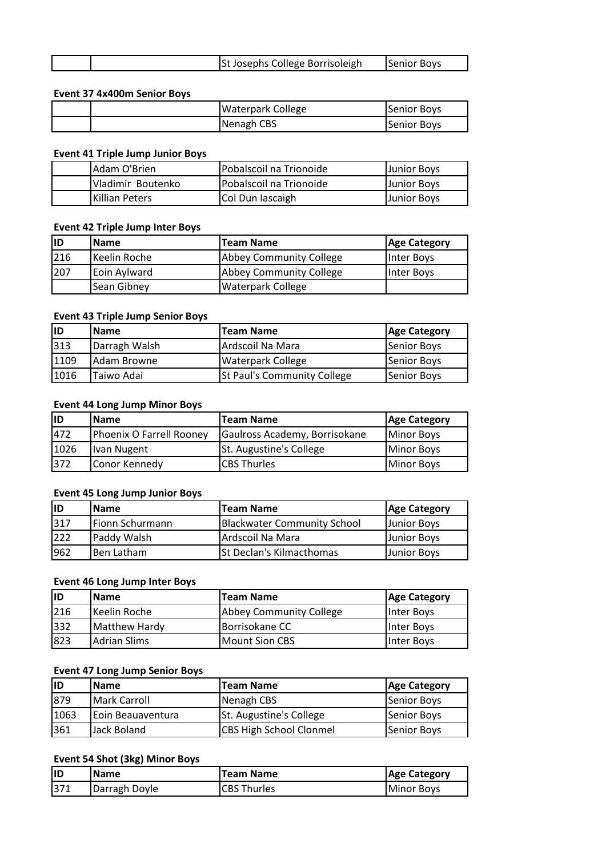| . Josephs College Borrisoleigh<br>St J | <b>Senior Boys</b> |
|----------------------------------------|--------------------|

### **Event 37 4x400m Senior Boys**

|  | <b>Waterpark College</b> | Senior Boys |
|--|--------------------------|-------------|
|  | Nenagh CBS               | Senior Boys |

### **Event 41 Triple Jump Junior Boys**

| Adam O'Brien      | Pobalscoil na Trionoide | Junior Boys |
|-------------------|-------------------------|-------------|
| Vladimir Boutenko | Pobalscoil na Trionoide | Junior Boys |
| Killian Peters    | Col Dun lascaigh        | Junior Boys |

#### **Event 42 Triple Jump Inter Boys**

| lıd | <b>Name</b>           | <b>Team Name</b>               | <b>Age Category</b> |
|-----|-----------------------|--------------------------------|---------------------|
| 216 | <b>I</b> Keelin Roche | <b>Abbey Community College</b> | <b>Inter Boys</b>   |
| 207 | Eoin Aylward          | <b>Abbey Community College</b> | Inter Boys          |
|     | Sean Gibney           | <b>Waterpark College</b>       |                     |

#### **Event 43 Triple Jump Senior Boys**

| lıd  | <b>Name</b>   | <b>Team Name</b>            | <b>Age Category</b> |
|------|---------------|-----------------------------|---------------------|
| 313  | Darragh Walsh | Ardscoil Na Mara            | Senior Boys         |
| 1109 | lAdam Browne  | <b>Waterpark College</b>    | Senior Boys         |
| 1016 | Taiwo Adai    | St Paul's Community College | Senior Boys         |

#### **Event 44 Long Jump Minor Boys**

| lıd  | <b>IName</b>             | <b>Team Name</b>              | <b>Age Category</b> |
|------|--------------------------|-------------------------------|---------------------|
| 472  | Phoenix O Farrell Rooney | Gaulross Academy, Borrisokane | Minor Boys          |
| 1026 | Ivan Nugent              | St. Augustine's College       | Minor Boys          |
| 372  | Conor Kennedy            | <b>CBS Thurles</b>            | Minor Boys          |

### **Event 45 Long Jump Junior Boys**

| lID | <b>Name</b>     | <b>Team Name</b>                   | <b>Age Category</b> |
|-----|-----------------|------------------------------------|---------------------|
| 317 | Fionn Schurmann | <b>Blackwater Community School</b> | Junior Boys         |
| 222 | Paddy Walsh     | Ardscoil Na Mara                   | Junior Boys         |
| 962 | Ben Latham      | St Declan's Kilmacthomas           | <b>Junior Boys</b>  |

#### **Event 46 Long Jump Inter Boys**

| lıd | <b>Name</b>         | Team Name                      | <b>Age Category</b> |
|-----|---------------------|--------------------------------|---------------------|
| 216 | Keelin Roche        | <b>Abbey Community College</b> | <b>Inter Boys</b>   |
| 332 | Matthew Hardy       | Borrisokane CC                 | Inter Boys          |
| 823 | <b>Adrian Slims</b> | Mount Sion CBS                 | Inter Boys          |

### **Event 47 Long Jump Senior Boys**

| ID   | <b>Name</b>        | <b>Team Name</b>               | <b>Age Category</b> |
|------|--------------------|--------------------------------|---------------------|
| 879  | Mark Carroll       | Nenagh CBS                     | Senior Boys         |
| 1063 | lEoin Beauaventura | St. Augustine's College        | Senior Boys         |
| 361  | lJack Boland       | <b>CBS High School Clonmel</b> | Senior Boys         |

### **Event 54 Shot (3kg) Minor Boys**

| IID | <b>Name</b>   | <b>Team Name</b>   | <b>Age Category</b> |
|-----|---------------|--------------------|---------------------|
| 371 | Darragh Doyle | <b>CBS Thurles</b> | Minor Boys          |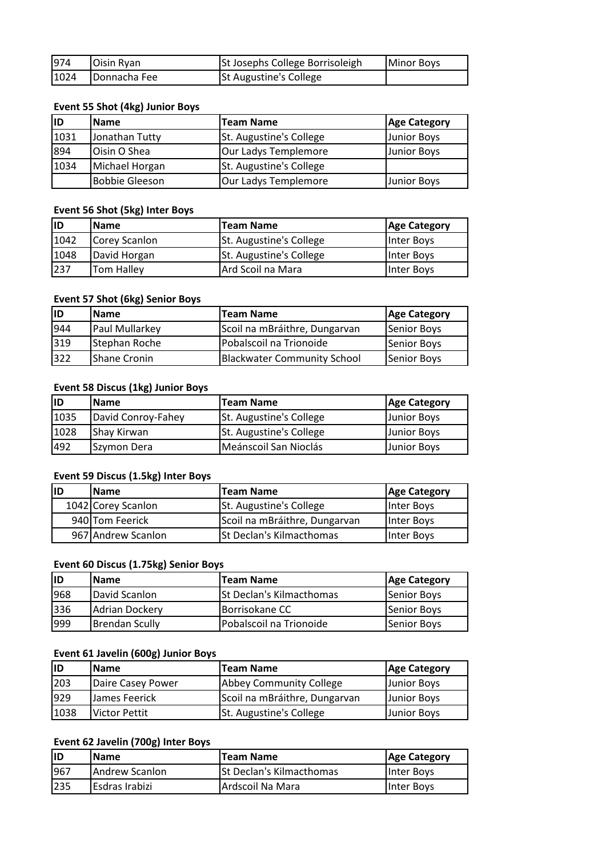| 974  | <b>Oisin Ryan</b> | St Josephs College Borrisoleigh | <b>IMinor Boys</b> |
|------|-------------------|---------------------------------|--------------------|
| 1024 | Donnacha Fee      | St Augustine's College          |                    |

## **Event 55 Shot (4kg) Junior Boys**

| <b>ID</b> | <b>Name</b>           | <b>Team Name</b>        | <b>Age Category</b> |
|-----------|-----------------------|-------------------------|---------------------|
| 1031      | Jonathan Tutty        | St. Augustine's College | Junior Boys         |
| 894       | Oisin O Shea          | Our Ladys Templemore    | Junior Boys         |
| 1034      | Michael Horgan        | St. Augustine's College |                     |
|           | <b>Bobbie Gleeson</b> | Our Ladys Templemore    | Junior Boys         |

### **Event 56 Shot (5kg) Inter Boys**

| lid  | <b>Name</b>   | <b>Team Name</b>               | <b>Age Category</b> |
|------|---------------|--------------------------------|---------------------|
| 1042 | Corey Scanlon | St. Augustine's College        | Inter Boys          |
| 1048 | David Horgan  | <b>St. Augustine's College</b> | Inter Boys          |
| 237  | Tom Halley    | Ard Scoil na Mara              | Inter Boys          |

## **Event 57 Shot (6kg) Senior Boys**

| lıd | <b>Name</b>           | <b>Team Name</b>                   | <b>Age Category</b> |
|-----|-----------------------|------------------------------------|---------------------|
| 944 | <b>Paul Mullarkey</b> | Scoil na mBráithre, Dungarvan      | Senior Boys         |
| 319 | Stephan Roche         | Pobalscoil na Trionoide            | Senior Boys         |
| 322 | <b>I</b> Shane Cronin | <b>Blackwater Community School</b> | Senior Boys         |

## **Event 58 Discus (1kg) Junior Boys**

| lID  | <b>IName</b>       | <b>Team Name</b>        | <b>Age Category</b> |
|------|--------------------|-------------------------|---------------------|
| 1035 | David Conroy-Fahey | St. Augustine's College | Junior Boys         |
| 1028 | Shay Kirwan        | St. Augustine's College | Junior Boys         |
| 492  | Szymon Dera        | Meánscoil San Nioclás   | <b>Junior Boys</b>  |

## **Event 59 Discus (1.5kg) Inter Boys**

| <b>ID</b> | <b>IName</b>       | <b>Team Name</b>                | Age Category |
|-----------|--------------------|---------------------------------|--------------|
|           | 1042 Corey Scanlon | <b>St. Augustine's College</b>  | Inter Boys   |
|           | 940 Tom Feerick    | Scoil na mBráithre, Dungarvan   | Inter Boys   |
|           | 967 Andrew Scanlon | <b>St Declan's Kilmacthomas</b> | Inter Boys   |

### **Event 60 Discus (1.75kg) Senior Boys**

| lıD | <b>Name</b>     | <b>Team Name</b>                | <b>Age Category</b> |
|-----|-----------------|---------------------------------|---------------------|
| 968 | David Scanlon   | <b>St Declan's Kilmacthomas</b> | <b>Senior Boys</b>  |
| 336 | lAdrian Dockerv | Borrisokane CC                  | <b>ISenior Boys</b> |
| 999 | Brendan Scully  | Pobalscoil na Trionoide         | Senior Boys         |

### **Event 61 Javelin (600g) Junior Boys**

| lid  | <b>Name</b>       | <b>Team Name</b>               | <b>Age Category</b> |
|------|-------------------|--------------------------------|---------------------|
| 203  | Daire Casey Power | Abbey Community College        | Junior Boys         |
| 929  | James Feerick     | Scoil na mBráithre, Dungarvan  | Junior Boys         |
| 1038 | Victor Pettit     | <b>St. Augustine's College</b> | <b>Junior Boys</b>  |

## **Event 62 Javelin (700g) Inter Boys**

| <b>ID</b> | <b>Name</b>     | <b>Team Name</b>                | Age Category      |
|-----------|-----------------|---------------------------------|-------------------|
| 967       | IAndrew Scanlon | <b>St Declan's Kilmacthomas</b> | <b>Inter Boys</b> |
| 235       | Esdras Irabizi  | Ardscoil Na Mara                | IInter Bovs       |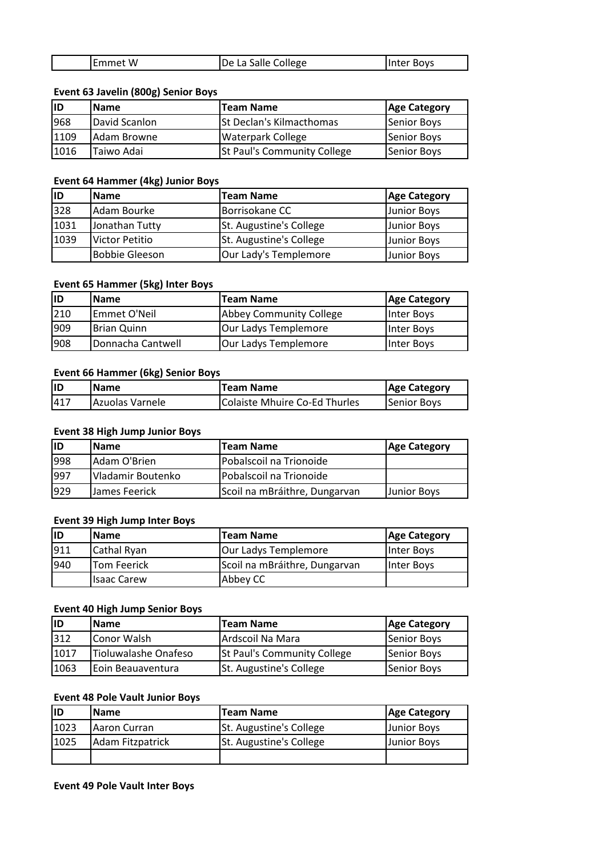| De La Salle College<br>Emmet W<br><b>Inter Boys</b> |  |
|-----------------------------------------------------|--|
|-----------------------------------------------------|--|

### **Event 63 Javelin (800g) Senior Boys**

| lıd  | <b>IName</b>  | <b>Team Name</b>                | <b>Age Category</b> |
|------|---------------|---------------------------------|---------------------|
| 968  | David Scanlon | <b>St Declan's Kilmacthomas</b> | Senior Boys         |
| 1109 | IAdam Browne  | <b>Waterpark College</b>        | Senior Boys         |
| 1016 | Taiwo Adai    | St Paul's Community College     | Senior Boys         |

### **Event 64 Hammer (4kg) Junior Boys**

| lıd  | <b>Name</b>    | <b>Team Name</b>        | <b>Age Category</b> |
|------|----------------|-------------------------|---------------------|
| 328  | Adam Bourke    | Borrisokane CC          | Junior Boys         |
| 1031 | Jonathan Tutty | St. Augustine's College | <b>Junior Boys</b>  |
| 1039 | Victor Petitio | St. Augustine's College | <b>Junior Boys</b>  |
|      | Bobbie Gleeson | Our Lady's Templemore   | <b>Junior Boys</b>  |

## **Event 65 Hammer (5kg) Inter Boys**

| lid | <b>Name</b>          | <b>Team Name</b>        | <b>Age Category</b> |
|-----|----------------------|-------------------------|---------------------|
| 210 | Emmet O'Neil         | Abbey Community College | Inter Boys          |
| 909 | <b>I</b> Brian Quinn | Our Ladys Templemore    | Inter Boys          |
| 908 | Donnacha Cantwell    | Our Ladys Templemore    | Inter Boys          |

## **Event 66 Hammer (6kg) Senior Boys**

| IID  | <b>Name</b>      | <b>Team Name</b>              | <b>Age Category</b> |
|------|------------------|-------------------------------|---------------------|
| 1417 | IAzuolas Varnele | Colaiste Mhuire Co-Ed Thurles | Senior Boys         |

#### **Event 38 High Jump Junior Boys**

| lıD | lName             | <b>Team Name</b>              | <b>Age Category</b> |
|-----|-------------------|-------------------------------|---------------------|
| 998 | Adam O'Brien      | Pobalscoil na Trionoide       |                     |
| 997 | Vladamir Boutenko | Pobalscoil na Trionoide       |                     |
| 929 | IJames Feerick    | Scoil na mBráithre, Dungarvan | <b>Uunior Boys</b>  |

#### **Event 39 High Jump Inter Boys**

| lıd | <b>IName</b> | <b>Team Name</b>              | <b>Age Category</b> |
|-----|--------------|-------------------------------|---------------------|
| 911 | Cathal Ryan  | Our Ladys Templemore          | Inter Boys          |
| 940 | lTom Feerick | Scoil na mBráithre, Dungarvan | Inter Boys          |
|     | Ilsaac Carew | Abbey CC                      |                     |

#### **Event 40 High Jump Senior Boys**

| ID   | <b>Name</b>               | <b>Team Name</b>                   | <b>Age Category</b> |
|------|---------------------------|------------------------------------|---------------------|
| 312  | Conor Walsh               | Ardscoil Na Mara                   | Senior Boys         |
| 1017 | Tioluwalashe Onafeso      | <b>St Paul's Community College</b> | Senior Boys         |
| 1063 | <b>IEoin Beauaventura</b> | <b>St. Augustine's College</b>     | Senior Boys         |

## **Event 48 Pole Vault Junior Boys**

| ID   | <b>Name</b>      | <b>Team Name</b>        | <b>Age Category</b> |
|------|------------------|-------------------------|---------------------|
| 1023 | IAaron Curran    | St. Augustine's College | <b>Junior Boys</b>  |
| 1025 | Adam Fitzpatrick | St. Augustine's College | <b>Junior Boys</b>  |
|      |                  |                         |                     |

#### **Event 49 Pole Vault Inter Boys**